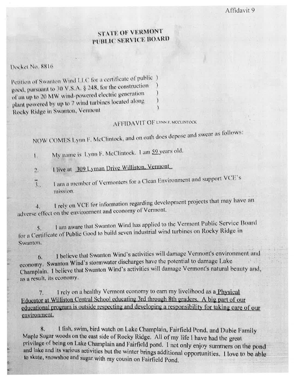## STATE OF VERMONT PUBLIC SERVICE BOARD

Docket No. 8816

Petition of Swanton Wind LLC for a certificate of public ) good, pursuant to 30 V.S.A. § 248, for the construction of an up to 20 MW wind-powered electric generation plant powered by up to 7 wind turbines located along Rocky Ridge in Swanton, Vermont

## AFFIDAVIT OF LYNN F. MCCLINTOCK

NOW COMES Lynn F. McClintock, and on oath does depose and swear as follows:

My name is 1 yan F. McClintock. 1 am 59 years old.  $\mathbf{I}$ .

I live at 309 Lyman Drive Williston, Vermont  $\frac{1}{2}$ 

I am a member of Vermonters for a Clean Environment and support VCE's  $\overline{3}$ . mission.

I rely on VCE for information regarding development projects that may have an  $\ddot{ }$ adverse effect on the environment and economy of Vermont.

I am aware that Swanton Wind has applied to the Vermont Public Service Board  $5.$ for a Certificate of Public Good to build seven industrial wind turbines on Rocky Ridge in Swanton.

I believe that Swanton Wind's activities will damage Vermont's environment and 6. economy. Swanton Wind's stormwater discharges have the potential to damage Lake Champlain. I believe that Swanton Wind's activities will damage Vermont's natural beauty and, as a result, its economy.

I rely on a healthy Vermont economy to earn my livelihood as a Physical 7. Educator at Williston Central School educating 3rd through 8th graders. A big part of our educational program is outside respecting and developing a responsibility for taking care of our environment.

I fish, swim, bird watch on Lake Champlain, Fairfield Pond, and Dubie Family  $8.$ Maple Sugar woods on the east side of Rocky Ridge. All of my life I have had the great privilage of being on Lake Champlain and Fairfield pond. I not only enjoy summers on the pond and lake and its various activities but the winter brings additional opportunities. I love to be able to skate, snowshoe and sugar with my cousin on Fairfield Pond.